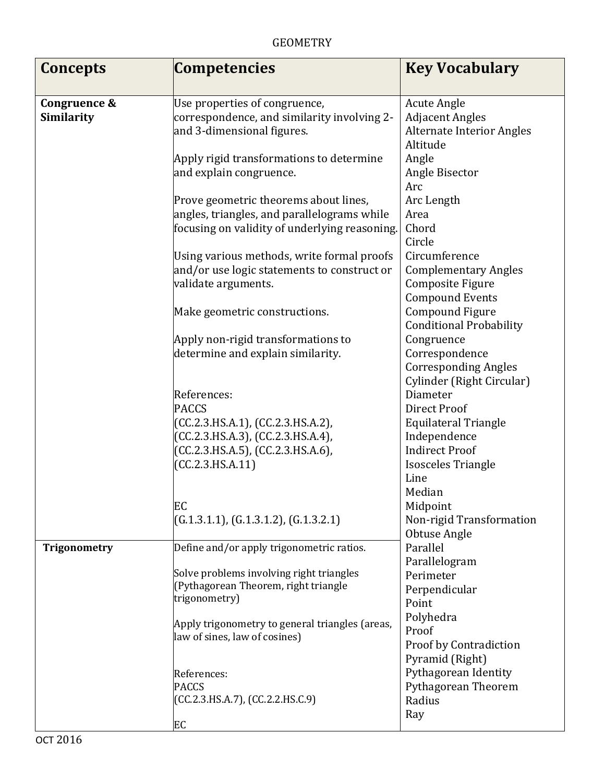| <b>Concepts</b>            | <b>Competencies</b>                                                                                                                                            | <b>Key Vocabulary</b>                                                                                                                                                        |
|----------------------------|----------------------------------------------------------------------------------------------------------------------------------------------------------------|------------------------------------------------------------------------------------------------------------------------------------------------------------------------------|
|                            |                                                                                                                                                                |                                                                                                                                                                              |
| Congruence &<br>Similarity | Use properties of congruence,<br>correspondence, and similarity involving 2-<br>and 3-dimensional figures.                                                     | <b>Acute Angle</b><br><b>Adjacent Angles</b><br><b>Alternate Interior Angles</b>                                                                                             |
|                            | Apply rigid transformations to determine<br>and explain congruence.                                                                                            | Altitude<br>Angle<br>Angle Bisector<br>Arc                                                                                                                                   |
|                            | Prove geometric theorems about lines,<br>angles, triangles, and parallelograms while<br>focusing on validity of underlying reasoning.                          | Arc Length<br>Area<br>Chord                                                                                                                                                  |
|                            | Using various methods, write formal proofs<br>and/or use logic statements to construct or<br>validate arguments.                                               | Circle<br>Circumference<br><b>Complementary Angles</b><br>Composite Figure                                                                                                   |
|                            | Make geometric constructions.                                                                                                                                  | <b>Compound Events</b><br>Compound Figure<br><b>Conditional Probability</b>                                                                                                  |
|                            | Apply non-rigid transformations to<br>determine and explain similarity.                                                                                        | Congruence<br>Correspondence<br><b>Corresponding Angles</b>                                                                                                                  |
|                            | References:<br><b>PACCS</b><br>(CC.2.3.HS.A.1), (CC.2.3.HS.A.2),<br>(CC.2.3.HS.A.3), (CC.2.3.HS.A.4),<br>(CC.2.3.HS.A.5), (CC.2.3.HS.A.6),<br>(CC.2.3.HS.A.11) | Cylinder (Right Circular)<br>Diameter<br><b>Direct Proof</b><br><b>Equilateral Triangle</b><br>Independence<br><b>Indirect Proof</b><br>Isosceles Triangle<br>Line<br>Median |
|                            | EC<br>(G.1.3.1.1), (G.1.3.1.2), (G.1.3.2.1)                                                                                                                    | Midpoint<br>Non-rigid Transformation<br>Obtuse Angle                                                                                                                         |
| <b>Trigonometry</b>        | Define and/or apply trigonometric ratios.                                                                                                                      | Parallel<br>Parallelogram                                                                                                                                                    |
|                            | Solve problems involving right triangles<br>(Pythagorean Theorem, right triangle<br>trigonometry)                                                              | Perimeter<br>Perpendicular<br>Point                                                                                                                                          |
|                            | Apply trigonometry to general triangles (areas,<br>law of sines, law of cosines)                                                                               | Polyhedra<br>Proof<br>Proof by Contradiction<br>Pyramid (Right)                                                                                                              |
|                            | References:<br><b>PACCS</b><br>(CC.2.3.HS.A.7), (CC.2.2.HS.C.9)                                                                                                | Pythagorean Identity<br>Pythagorean Theorem<br>Radius<br>Ray                                                                                                                 |
|                            | EC                                                                                                                                                             |                                                                                                                                                                              |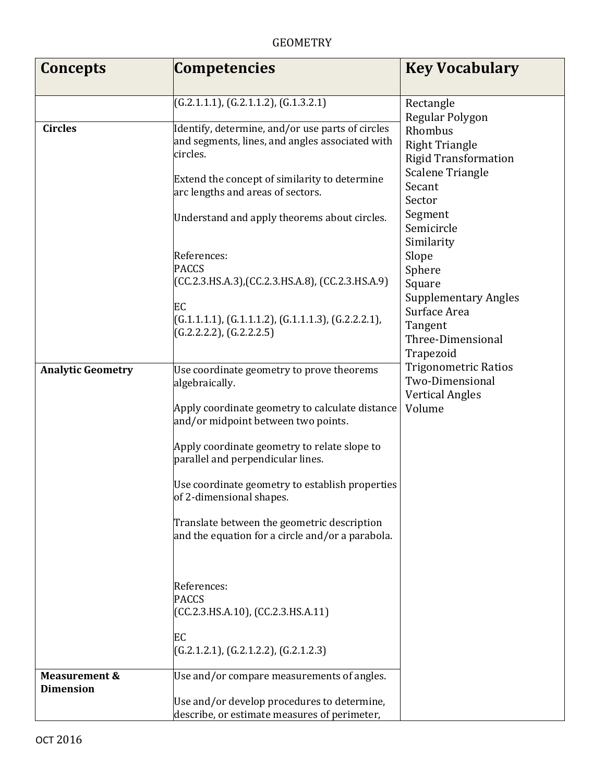## GEOMETRY

| Concepts                                     | <b>Competencies</b>                                                                                             | <b>Key Vocabulary</b>                                                                    |
|----------------------------------------------|-----------------------------------------------------------------------------------------------------------------|------------------------------------------------------------------------------------------|
|                                              | (G.2.1.1.1), (G.2.1.1.2), (G.1.3.2.1)                                                                           | Rectangle                                                                                |
| <b>Circles</b>                               | Identify, determine, and/or use parts of circles<br>and segments, lines, and angles associated with<br>circles. | Regular Polygon<br>Rhombus<br><b>Right Triangle</b><br><b>Rigid Transformation</b>       |
|                                              | Extend the concept of similarity to determine<br>arc lengths and areas of sectors.                              | <b>Scalene Triangle</b><br>Secant<br>Sector                                              |
|                                              | Understand and apply theorems about circles.                                                                    | Segment<br>Semicircle<br>Similarity                                                      |
|                                              | References:<br><b>PACCS</b><br>$(CC.2.3.HS.A.3)$ , $(CC.2.3.HS.A.8)$ , $(CC.2.3.HS.A.9)$                        | Slope<br>Sphere<br>Square                                                                |
|                                              | EC<br>$(G.1.1.1.1), (G.1.1.1.2), (G.1.1.1.3), (G.2.2.2.1),$<br>(G.2.2.2.2), (G.2.2.2.5)                         | <b>Supplementary Angles</b><br>Surface Area<br>Tangent<br>Three-Dimensional<br>Trapezoid |
| <b>Analytic Geometry</b>                     | Use coordinate geometry to prove theorems<br>algebraically.                                                     | <b>Trigonometric Ratios</b><br>Two-Dimensional<br><b>Vertical Angles</b>                 |
|                                              | Apply coordinate geometry to calculate distance<br>and/or midpoint between two points.                          | Volume                                                                                   |
|                                              | Apply coordinate geometry to relate slope to<br>parallel and perpendicular lines.                               |                                                                                          |
|                                              | Use coordinate geometry to establish properties<br>of 2-dimensional shapes.                                     |                                                                                          |
|                                              | Translate between the geometric description<br>and the equation for a circle and/or a parabola.                 |                                                                                          |
|                                              | References:<br><b>PACCS</b><br>(CC.2.3.HS.A.10), (CC.2.3.HS.A.11)                                               |                                                                                          |
|                                              | EC<br>(G.2.1.2.1), (G.2.1.2.2), (G.2.1.2.3)                                                                     |                                                                                          |
| <b>Measurement &amp;</b><br><b>Dimension</b> | Use and/or compare measurements of angles.                                                                      |                                                                                          |
|                                              | Use and/or develop procedures to determine,<br>describe, or estimate measures of perimeter,                     |                                                                                          |